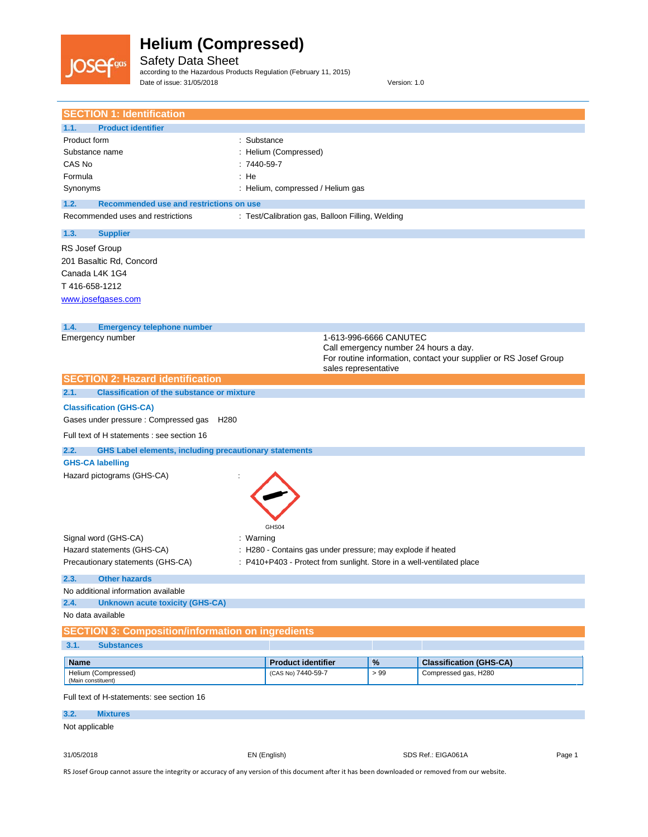

Safety Data Sheet according to the Hazardous Products Regulation (February 11, 2015) Date of issue: 31/05/2018 Version: 1.0

| <b>SECTION 1: Identification</b>                                                                                                                 |                                                             |                        |                                                                                                           |        |
|--------------------------------------------------------------------------------------------------------------------------------------------------|-------------------------------------------------------------|------------------------|-----------------------------------------------------------------------------------------------------------|--------|
| 1.1.<br><b>Product identifier</b>                                                                                                                |                                                             |                        |                                                                                                           |        |
| Product form<br>: Substance                                                                                                                      |                                                             |                        |                                                                                                           |        |
| Substance name                                                                                                                                   | : Helium (Compressed)                                       |                        |                                                                                                           |        |
| CAS No<br>$:7440-59-7$                                                                                                                           |                                                             |                        |                                                                                                           |        |
| : He<br>Formula                                                                                                                                  |                                                             |                        |                                                                                                           |        |
| Synonyms                                                                                                                                         | : Helium, compressed / Helium gas                           |                        |                                                                                                           |        |
| 1.2.<br>Recommended use and restrictions on use                                                                                                  |                                                             |                        |                                                                                                           |        |
| Recommended uses and restrictions                                                                                                                | : Test/Calibration gas, Balloon Filling, Welding            |                        |                                                                                                           |        |
| 1.3.<br><b>Supplier</b>                                                                                                                          |                                                             |                        |                                                                                                           |        |
| RS Josef Group<br>201 Basaltic Rd, Concord                                                                                                       |                                                             |                        |                                                                                                           |        |
| Canada L4K 1G4                                                                                                                                   |                                                             |                        |                                                                                                           |        |
| T416-658-1212                                                                                                                                    |                                                             |                        |                                                                                                           |        |
| www.josefgases.com                                                                                                                               |                                                             |                        |                                                                                                           |        |
|                                                                                                                                                  |                                                             |                        |                                                                                                           |        |
| 1.4.<br><b>Emergency telephone number</b><br>Emergency number                                                                                    |                                                             | 1-613-996-6666 CANUTEC |                                                                                                           |        |
|                                                                                                                                                  |                                                             |                        | Call emergency number 24 hours a day.<br>For routine information, contact your supplier or RS Josef Group |        |
| <b>SECTION 2: Hazard identification</b>                                                                                                          |                                                             | sales representative   |                                                                                                           |        |
| <b>Classification of the substance or mixture</b><br>2.1.                                                                                        |                                                             |                        |                                                                                                           |        |
|                                                                                                                                                  |                                                             |                        |                                                                                                           |        |
| <b>Classification (GHS-CA)</b>                                                                                                                   |                                                             |                        |                                                                                                           |        |
| Gases under pressure : Compressed gas<br>H <sub>280</sub>                                                                                        |                                                             |                        |                                                                                                           |        |
| Full text of H statements : see section 16                                                                                                       |                                                             |                        |                                                                                                           |        |
| 2.2.<br><b>GHS Label elements, including precautionary statements</b>                                                                            |                                                             |                        |                                                                                                           |        |
| <b>GHS-CA labelling</b>                                                                                                                          |                                                             |                        |                                                                                                           |        |
| Hazard pictograms (GHS-CA)                                                                                                                       |                                                             |                        |                                                                                                           |        |
|                                                                                                                                                  |                                                             |                        |                                                                                                           |        |
|                                                                                                                                                  |                                                             |                        |                                                                                                           |        |
|                                                                                                                                                  |                                                             |                        |                                                                                                           |        |
|                                                                                                                                                  | GHS04                                                       |                        |                                                                                                           |        |
| Signal word (GHS-CA)<br>: Warning                                                                                                                |                                                             |                        |                                                                                                           |        |
| Hazard statements (GHS-CA)                                                                                                                       | : H280 - Contains gas under pressure; may explode if heated |                        |                                                                                                           |        |
| Precautionary statements (GHS-CA)                                                                                                                |                                                             |                        | : P410+P403 - Protect from sunlight. Store in a well-ventilated place                                     |        |
| 2.3.<br><b>Other hazards</b>                                                                                                                     |                                                             |                        |                                                                                                           |        |
| No additional information available                                                                                                              |                                                             |                        |                                                                                                           |        |
| 2.4.<br><b>Unknown acute toxicity (GHS-CA)</b>                                                                                                   |                                                             |                        |                                                                                                           |        |
| No data available                                                                                                                                |                                                             |                        |                                                                                                           |        |
| <b>SECTION 3: Composition/information on ingredients</b>                                                                                         |                                                             |                        |                                                                                                           |        |
| 3.1.<br><b>Substances</b>                                                                                                                        |                                                             |                        |                                                                                                           |        |
| <b>Name</b>                                                                                                                                      | <b>Product identifier</b>                                   | $\%$                   | <b>Classification (GHS-CA)</b>                                                                            |        |
| Helium (Compressed)<br>(Main constituent)                                                                                                        | (CAS No) 7440-59-7                                          | > 99                   | Compressed gas, H280                                                                                      |        |
| Full text of H-statements: see section 16                                                                                                        |                                                             |                        |                                                                                                           |        |
| <b>Mixtures</b><br>3.2.                                                                                                                          |                                                             |                        |                                                                                                           |        |
| Not applicable                                                                                                                                   |                                                             |                        |                                                                                                           |        |
|                                                                                                                                                  |                                                             |                        |                                                                                                           |        |
| 31/05/2018                                                                                                                                       | EN (English)                                                |                        | SDS Ref.: EIGA061A                                                                                        | Page 1 |
| RS Josef Group cannot assure the integrity or accuracy of any version of this document after it has been downloaded or removed from our website. |                                                             |                        |                                                                                                           |        |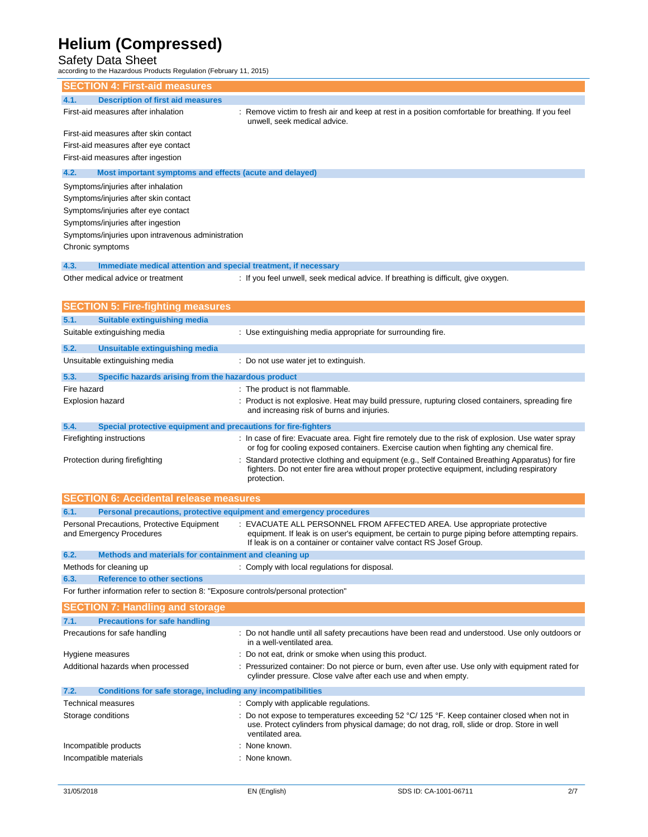Safety Data Sheet according to the Hazardous Products Regulation (February 11, 2015)

| <b>SECTION 4: First-aid measures</b>                                                |                                                                                                                                                                                                              |
|-------------------------------------------------------------------------------------|--------------------------------------------------------------------------------------------------------------------------------------------------------------------------------------------------------------|
| <b>Description of first aid measures</b><br>4.1.                                    |                                                                                                                                                                                                              |
| First-aid measures after inhalation                                                 | Remove victim to fresh air and keep at rest in a position comfortable for breathing. If you feel<br>unwell, seek medical advice.                                                                             |
| First-aid measures after skin contact                                               |                                                                                                                                                                                                              |
| First-aid measures after eye contact                                                |                                                                                                                                                                                                              |
| First-aid measures after ingestion                                                  |                                                                                                                                                                                                              |
| 4.2.<br>Most important symptoms and effects (acute and delayed)                     |                                                                                                                                                                                                              |
| Symptoms/injuries after inhalation                                                  |                                                                                                                                                                                                              |
| Symptoms/injuries after skin contact                                                |                                                                                                                                                                                                              |
| Symptoms/injuries after eye contact                                                 |                                                                                                                                                                                                              |
| Symptoms/injuries after ingestion                                                   |                                                                                                                                                                                                              |
| Symptoms/injuries upon intravenous administration                                   |                                                                                                                                                                                                              |
| Chronic symptoms                                                                    |                                                                                                                                                                                                              |
| 4.3.<br>Immediate medical attention and special treatment, if necessary             |                                                                                                                                                                                                              |
| Other medical advice or treatment                                                   | : If you feel unwell, seek medical advice. If breathing is difficult, give oxygen.                                                                                                                           |
|                                                                                     |                                                                                                                                                                                                              |
| <b>SECTION 5: Fire-fighting measures</b>                                            |                                                                                                                                                                                                              |
| 5.1.<br><b>Suitable extinguishing media</b>                                         |                                                                                                                                                                                                              |
| Suitable extinguishing media                                                        | : Use extinguishing media appropriate for surrounding fire.                                                                                                                                                  |
| 5.2.<br>Unsuitable extinguishing media                                              |                                                                                                                                                                                                              |
| Unsuitable extinguishing media                                                      | : Do not use water jet to extinguish.                                                                                                                                                                        |
|                                                                                     |                                                                                                                                                                                                              |
| 5.3.<br>Specific hazards arising from the hazardous product                         |                                                                                                                                                                                                              |
| Fire hazard                                                                         | : The product is not flammable.                                                                                                                                                                              |
| <b>Explosion hazard</b>                                                             | : Product is not explosive. Heat may build pressure, rupturing closed containers, spreading fire<br>and increasing risk of burns and injuries.                                                               |
| 5.4.<br>Special protective equipment and precautions for fire-fighters              |                                                                                                                                                                                                              |
| Firefighting instructions                                                           | : In case of fire: Evacuate area. Fight fire remotely due to the risk of explosion. Use water spray<br>or fog for cooling exposed containers. Exercise caution when fighting any chemical fire.              |
| Protection during firefighting                                                      | Standard protective clothing and equipment (e.g., Self Contained Breathing Apparatus) for fire<br>fighters. Do not enter fire area without proper protective equipment, including respiratory<br>protection. |
| <b>SECTION 6: Accidental release measures</b>                                       |                                                                                                                                                                                                              |
| Personal precautions, protective equipment and emergency procedures<br>6.1.         |                                                                                                                                                                                                              |
| Personal Precautions, Protective Equipment                                          | EVACUATE ALL PERSONNEL FROM AFFECTED AREA. Use appropriate protective                                                                                                                                        |
| and Emergency Procedures                                                            | equipment. If leak is on user's equipment, be certain to purge piping before attempting repairs.<br>If leak is on a container or container valve contact RS Josef Group.                                     |
| 6.2.<br>Methods and materials for containment and cleaning up                       |                                                                                                                                                                                                              |
| Methods for cleaning up                                                             | : Comply with local regulations for disposal.                                                                                                                                                                |
| <b>Reference to other sections</b><br>6.3.                                          |                                                                                                                                                                                                              |
| For further information refer to section 8: "Exposure controls/personal protection" |                                                                                                                                                                                                              |
| <b>SECTION 7: Handling and storage</b>                                              |                                                                                                                                                                                                              |
| <b>Precautions for safe handling</b><br>7.1.                                        |                                                                                                                                                                                                              |
| Precautions for safe handling                                                       | : Do not handle until all safety precautions have been read and understood. Use only outdoors or<br>in a well-ventilated area.                                                                               |
| Hygiene measures                                                                    | : Do not eat, drink or smoke when using this product.                                                                                                                                                        |
| Additional hazards when processed                                                   | Pressurized container: Do not pierce or burn, even after use. Use only with equipment rated for<br>cylinder pressure. Close valve after each use and when empty.                                             |
| Conditions for safe storage, including any incompatibilities<br>7.2.                |                                                                                                                                                                                                              |
| <b>Technical measures</b>                                                           | : Comply with applicable regulations.                                                                                                                                                                        |
| Storage conditions                                                                  | : Do not expose to temperatures exceeding 52 °C/ 125 °F. Keep container closed when not in                                                                                                                   |
|                                                                                     | use. Protect cylinders from physical damage; do not drag, roll, slide or drop. Store in well<br>ventilated area.                                                                                             |
| Incompatible products                                                               | None known.                                                                                                                                                                                                  |
| Incompatible materials                                                              | : None known.                                                                                                                                                                                                |
|                                                                                     |                                                                                                                                                                                                              |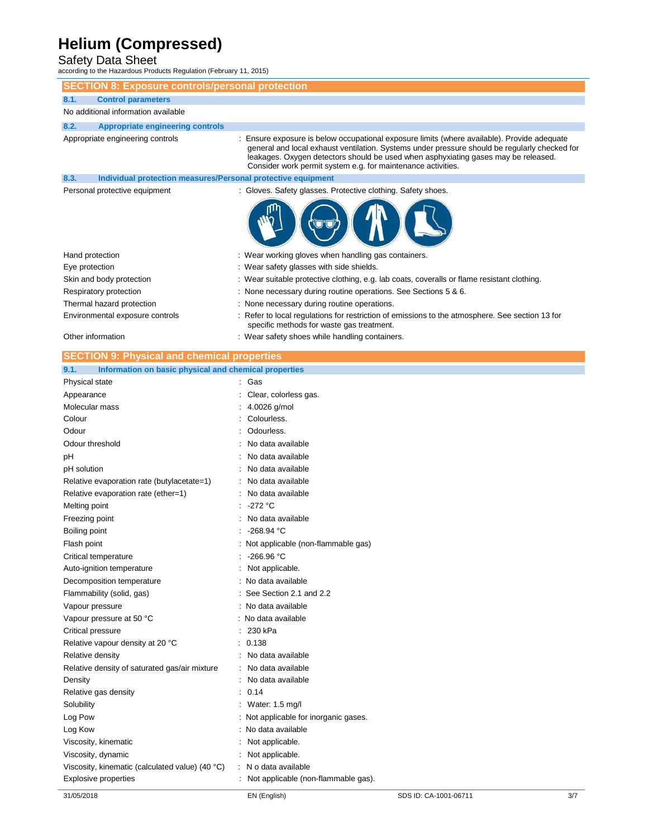Safety Data Sheet according to the Hazardous Products Regulation (February 11, 2015)

**SECTION 8: Exposure controls/personal protection**

| 8.1.<br><b>Control parameters</b>                                    |                                                                                                                                                                                                                                                                                                                                                    |
|----------------------------------------------------------------------|----------------------------------------------------------------------------------------------------------------------------------------------------------------------------------------------------------------------------------------------------------------------------------------------------------------------------------------------------|
| No additional information available                                  |                                                                                                                                                                                                                                                                                                                                                    |
| 8.2.<br><b>Appropriate engineering controls</b>                      |                                                                                                                                                                                                                                                                                                                                                    |
| Appropriate engineering controls                                     | : Ensure exposure is below occupational exposure limits (where available). Provide adequate<br>general and local exhaust ventilation. Systems under pressure should be regularly checked for<br>leakages. Oxygen detectors should be used when asphyxiating gases may be released.<br>Consider work permit system e.g. for maintenance activities. |
| Individual protection measures/Personal protective equipment<br>8.3. |                                                                                                                                                                                                                                                                                                                                                    |
| Personal protective equipment                                        | : Gloves. Safety glasses. Protective clothing. Safety shoes.                                                                                                                                                                                                                                                                                       |
| Hand protection                                                      | : Wear working gloves when handling gas containers.                                                                                                                                                                                                                                                                                                |
| Eye protection                                                       | : Wear safety glasses with side shields.                                                                                                                                                                                                                                                                                                           |
| Skin and body protection                                             | : Wear suitable protective clothing, e.g. lab coats, coveralls or flame resistant clothing.                                                                                                                                                                                                                                                        |
| Respiratory protection                                               | : None necessary during routine operations. See Sections 5 & 6.                                                                                                                                                                                                                                                                                    |
| Thermal hazard protection                                            | : None necessary during routine operations.                                                                                                                                                                                                                                                                                                        |
| Environmental exposure controls                                      | : Refer to local regulations for restriction of emissions to the atmosphere. See section 13 for<br>specific methods for waste gas treatment.                                                                                                                                                                                                       |
| Other information                                                    | : Wear safety shoes while handling containers.                                                                                                                                                                                                                                                                                                     |
| <b>SECTION 9: Physical and chemical properties</b>                   |                                                                                                                                                                                                                                                                                                                                                    |
| Information on basic physical and chemical properties<br>9.1.        |                                                                                                                                                                                                                                                                                                                                                    |
| Physical state                                                       | Gas                                                                                                                                                                                                                                                                                                                                                |
| Appearance                                                           | Clear, colorless gas.                                                                                                                                                                                                                                                                                                                              |
| Molecular mass                                                       | 4.0026 g/mol                                                                                                                                                                                                                                                                                                                                       |
| Colour                                                               | Colourless.                                                                                                                                                                                                                                                                                                                                        |
| Odour                                                                | Odourless.                                                                                                                                                                                                                                                                                                                                         |
| Odour threshold                                                      | No data available                                                                                                                                                                                                                                                                                                                                  |
| pH                                                                   | No data available                                                                                                                                                                                                                                                                                                                                  |
| pH solution                                                          | No data available                                                                                                                                                                                                                                                                                                                                  |
| Relative evaporation rate (butylacetate=1)                           | No data available                                                                                                                                                                                                                                                                                                                                  |

| Colour                                          | Colourless.                           |
|-------------------------------------------------|---------------------------------------|
| Odour                                           | Odourless.                            |
| Odour threshold                                 | No data available                     |
| pH                                              | No data available                     |
| pH solution                                     | No data available                     |
| Relative evaporation rate (butylacetate=1)      | No data available                     |
| Relative evaporation rate (ether=1)             | No data available                     |
| Melting point                                   | $-272 °C$                             |
| Freezing point                                  | No data available                     |
| Boiling point                                   | $-268.94 °C$                          |
| Flash point                                     | : Not applicable (non-flammable gas)  |
| Critical temperature                            | $-266.96 °C$                          |
| Auto-ignition temperature                       | Not applicable.                       |
| Decomposition temperature                       | No data available                     |
| Flammability (solid, gas)                       | See Section 2.1 and 2.2               |
| Vapour pressure                                 | No data available                     |
| Vapour pressure at 50 °C                        | No data available                     |
| Critical pressure                               | 230 kPa                               |
| Relative vapour density at 20 °C                | 0.138<br>۰                            |
| Relative density                                | No data available                     |
| Relative density of saturated gas/air mixture   | No data available                     |
| Density                                         | No data available                     |
| Relative gas density                            | 0.14                                  |
| Solubility                                      | Water: 1.5 mg/l                       |
| Log Pow                                         | : Not applicable for inorganic gases. |
| Log Kow                                         | No data available                     |
| Viscosity, kinematic                            | Not applicable.                       |
| Viscosity, dynamic                              | Not applicable.                       |
| Viscosity, kinematic (calculated value) (40 °C) | N o data available                    |
| Explosive properties                            | Not applicable (non-flammable gas).   |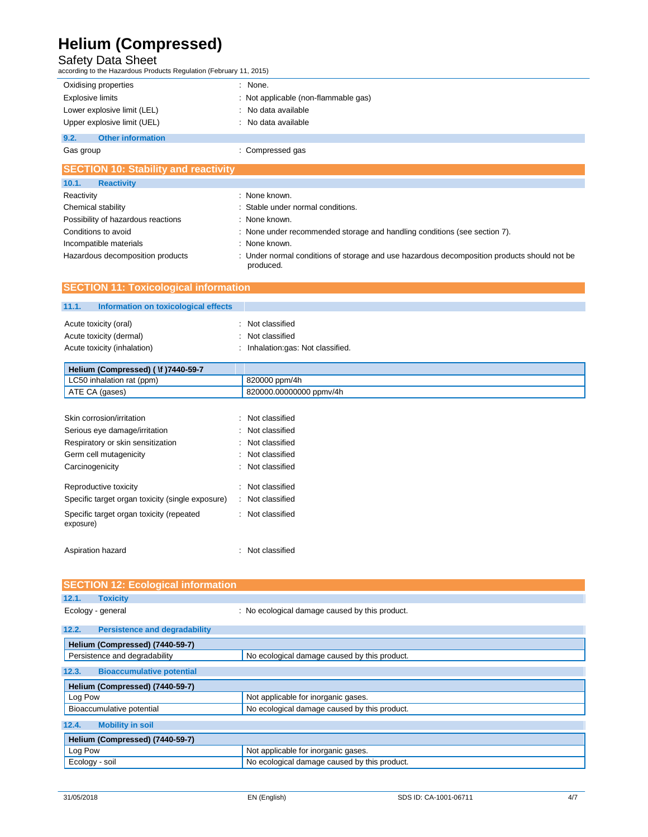Safety Data Sheet according to the Hazardous Products Regulation (February 11, 2015)

| Oxidising properties             | : None.                              |
|----------------------------------|--------------------------------------|
| <b>Explosive limits</b>          | : Not applicable (non-flammable gas) |
| Lower explosive limit (LEL)      | : No data available                  |
| Upper explosive limit (UEL)      | : No data available                  |
| 9.2.<br><b>Other information</b> |                                      |
| Gas group                        | : Compressed gas                     |
|                                  |                                      |

| <b>SECTION TO: Stability and reactivity</b> |                                                                                                          |
|---------------------------------------------|----------------------------------------------------------------------------------------------------------|
| 10.1.<br><b>Reactivity</b>                  |                                                                                                          |
| Reactivity                                  | : None known.                                                                                            |
| Chemical stability                          | : Stable under normal conditions.                                                                        |
| Possibility of hazardous reactions          | : None known.                                                                                            |
| Conditions to avoid                         | : None under recommended storage and handling conditions (see section 7).                                |
| Incompatible materials                      | : None known.                                                                                            |
| Hazardous decomposition products            | : Under normal conditions of storage and use hazardous decomposition products should not be<br>produced. |

| <b>SECTION 11: Toxicological information</b>  |                                 |  |
|-----------------------------------------------|---------------------------------|--|
| 11.1.<br>Information on toxicological effects |                                 |  |
| Acute toxicity (oral)                         | Not classified                  |  |
| Acute toxicity (dermal)                       | Not classified                  |  |
| Acute toxicity (inhalation)                   | Inhalation:gas: Not classified. |  |

| Helium (Compressed) (Vf) 7440-59-7 |                         |
|------------------------------------|-------------------------|
| LC50 inhalation rat (ppm)          | 820000 ppm/4h           |
| ATE CA (gases)                     | 820000.00000000 ppmy/4h |

| Skin corrosion/irritation                             |  | Not classified   |
|-------------------------------------------------------|--|------------------|
| Serious eye damage/irritation                         |  | Not classified   |
| Respiratory or skin sensitization                     |  | Not classified   |
| Germ cell mutagenicity                                |  | Not classified   |
| Carcinogenicity                                       |  | Not classified   |
|                                                       |  |                  |
| Reproductive toxicity                                 |  | Not classified   |
| Specific target organ toxicity (single exposure)      |  | : Not classified |
| Specific target organ toxicity (repeated<br>exposure) |  | · Not classified |
|                                                       |  |                  |
| Aspiration hazard                                     |  | Not classified   |

| <b>SECTION 12: Ecological information</b>     |                                                |
|-----------------------------------------------|------------------------------------------------|
| 12.1.<br><b>Toxicity</b>                      |                                                |
| Ecology - general                             | : No ecological damage caused by this product. |
| <b>Persistence and degradability</b><br>12.2. |                                                |
| Helium (Compressed) (7440-59-7)               |                                                |
| Persistence and degradability                 | No ecological damage caused by this product.   |
| <b>Bioaccumulative potential</b><br>12.3.     |                                                |
| Helium (Compressed) (7440-59-7)               |                                                |
| Log Pow                                       | Not applicable for inorganic gases.            |
| Bioaccumulative potential                     | No ecological damage caused by this product.   |
| <b>Mobility in soil</b><br>12.4.              |                                                |
| Helium (Compressed) (7440-59-7)               |                                                |
| Log Pow                                       | Not applicable for inorganic gases.            |
| Ecology - soil                                | No ecological damage caused by this product.   |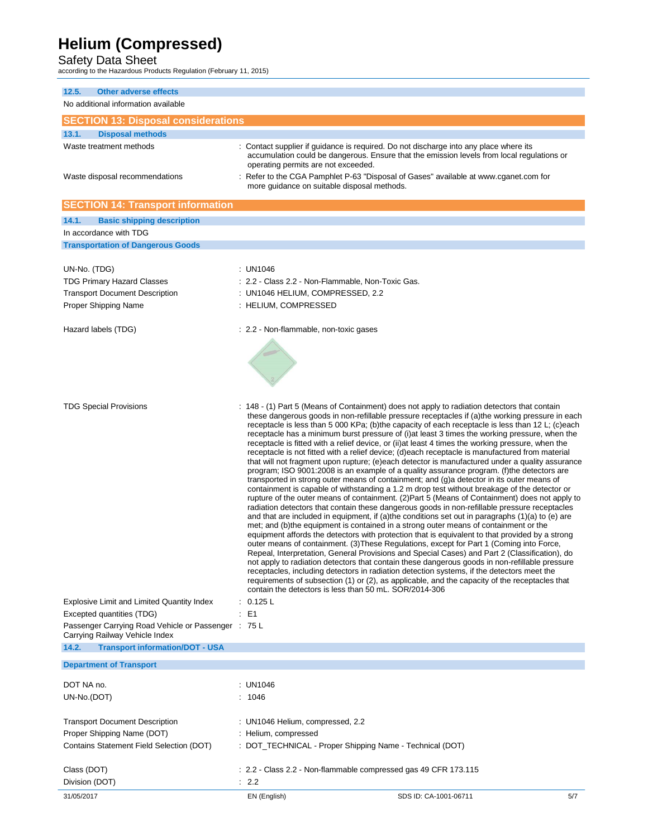Safety Data Sheet according to the Hazardous Products Regulation (February 11, 2015)

| 12.5.<br><b>Other adverse effects</b><br>No additional information available                                                              |                                                                                                                                                                                                                                                                                                                                                                 |                                                                                                                                                                                                                                                                                                                                                                                                                                                                                                                                                                                                                                                                                                                                                                                                                                                                                                                                                                                                                                                                                                                                                                                                                                                                                                                                                                                                                                                                                                                                                                                                                                                                                                          |     |
|-------------------------------------------------------------------------------------------------------------------------------------------|-----------------------------------------------------------------------------------------------------------------------------------------------------------------------------------------------------------------------------------------------------------------------------------------------------------------------------------------------------------------|----------------------------------------------------------------------------------------------------------------------------------------------------------------------------------------------------------------------------------------------------------------------------------------------------------------------------------------------------------------------------------------------------------------------------------------------------------------------------------------------------------------------------------------------------------------------------------------------------------------------------------------------------------------------------------------------------------------------------------------------------------------------------------------------------------------------------------------------------------------------------------------------------------------------------------------------------------------------------------------------------------------------------------------------------------------------------------------------------------------------------------------------------------------------------------------------------------------------------------------------------------------------------------------------------------------------------------------------------------------------------------------------------------------------------------------------------------------------------------------------------------------------------------------------------------------------------------------------------------------------------------------------------------------------------------------------------------|-----|
| <b>SECTION 13: Disposal considerations</b>                                                                                                |                                                                                                                                                                                                                                                                                                                                                                 |                                                                                                                                                                                                                                                                                                                                                                                                                                                                                                                                                                                                                                                                                                                                                                                                                                                                                                                                                                                                                                                                                                                                                                                                                                                                                                                                                                                                                                                                                                                                                                                                                                                                                                          |     |
| 13.1.<br><b>Disposal methods</b>                                                                                                          |                                                                                                                                                                                                                                                                                                                                                                 |                                                                                                                                                                                                                                                                                                                                                                                                                                                                                                                                                                                                                                                                                                                                                                                                                                                                                                                                                                                                                                                                                                                                                                                                                                                                                                                                                                                                                                                                                                                                                                                                                                                                                                          |     |
| Waste treatment methods<br>Waste disposal recommendations                                                                                 | : Contact supplier if guidance is required. Do not discharge into any place where its<br>accumulation could be dangerous. Ensure that the emission levels from local regulations or<br>operating permits are not exceeded.<br>Refer to the CGA Pamphlet P-63 "Disposal of Gases" available at www.cganet.com for<br>more guidance on suitable disposal methods. |                                                                                                                                                                                                                                                                                                                                                                                                                                                                                                                                                                                                                                                                                                                                                                                                                                                                                                                                                                                                                                                                                                                                                                                                                                                                                                                                                                                                                                                                                                                                                                                                                                                                                                          |     |
| <b>SECTION 14: Transport information</b>                                                                                                  |                                                                                                                                                                                                                                                                                                                                                                 |                                                                                                                                                                                                                                                                                                                                                                                                                                                                                                                                                                                                                                                                                                                                                                                                                                                                                                                                                                                                                                                                                                                                                                                                                                                                                                                                                                                                                                                                                                                                                                                                                                                                                                          |     |
| 14.1.<br><b>Basic shipping description</b>                                                                                                |                                                                                                                                                                                                                                                                                                                                                                 |                                                                                                                                                                                                                                                                                                                                                                                                                                                                                                                                                                                                                                                                                                                                                                                                                                                                                                                                                                                                                                                                                                                                                                                                                                                                                                                                                                                                                                                                                                                                                                                                                                                                                                          |     |
| In accordance with TDG                                                                                                                    |                                                                                                                                                                                                                                                                                                                                                                 |                                                                                                                                                                                                                                                                                                                                                                                                                                                                                                                                                                                                                                                                                                                                                                                                                                                                                                                                                                                                                                                                                                                                                                                                                                                                                                                                                                                                                                                                                                                                                                                                                                                                                                          |     |
| <b>Transportation of Dangerous Goods</b>                                                                                                  |                                                                                                                                                                                                                                                                                                                                                                 |                                                                                                                                                                                                                                                                                                                                                                                                                                                                                                                                                                                                                                                                                                                                                                                                                                                                                                                                                                                                                                                                                                                                                                                                                                                                                                                                                                                                                                                                                                                                                                                                                                                                                                          |     |
|                                                                                                                                           |                                                                                                                                                                                                                                                                                                                                                                 |                                                                                                                                                                                                                                                                                                                                                                                                                                                                                                                                                                                                                                                                                                                                                                                                                                                                                                                                                                                                                                                                                                                                                                                                                                                                                                                                                                                                                                                                                                                                                                                                                                                                                                          |     |
| UN-No. (TDG)<br><b>TDG Primary Hazard Classes</b><br><b>Transport Document Description</b><br>Proper Shipping Name<br>Hazard labels (TDG) | : UN1046<br>: 2.2 - Class 2.2 - Non-Flammable, Non-Toxic Gas.<br>: UN1046 HELIUM, COMPRESSED, 2.2<br>: HELIUM, COMPRESSED<br>: 2.2 - Non-flammable, non-toxic gases                                                                                                                                                                                             |                                                                                                                                                                                                                                                                                                                                                                                                                                                                                                                                                                                                                                                                                                                                                                                                                                                                                                                                                                                                                                                                                                                                                                                                                                                                                                                                                                                                                                                                                                                                                                                                                                                                                                          |     |
| <b>TDG Special Provisions</b>                                                                                                             |                                                                                                                                                                                                                                                                                                                                                                 | : 148 - (1) Part 5 (Means of Containment) does not apply to radiation detectors that contain<br>these dangerous goods in non-refillable pressure receptacles if (a) the working pressure in each<br>receptacle is less than 5 000 KPa; (b)the capacity of each receptacle is less than 12 L; (c)each                                                                                                                                                                                                                                                                                                                                                                                                                                                                                                                                                                                                                                                                                                                                                                                                                                                                                                                                                                                                                                                                                                                                                                                                                                                                                                                                                                                                     |     |
|                                                                                                                                           | contain the detectors is less than 50 mL. SOR/2014-306                                                                                                                                                                                                                                                                                                          | receptacle has a minimum burst pressure of (i) at least 3 times the working pressure, when the<br>receptacle is fitted with a relief device, or (ii) at least 4 times the working pressure, when the<br>receptacle is not fitted with a relief device; (d)each receptacle is manufactured from material<br>that will not fragment upon rupture; (e)each detector is manufactured under a quality assurance<br>program; ISO 9001:2008 is an example of a quality assurance program. (f) the detectors are<br>transported in strong outer means of containment; and (g)a detector in its outer means of<br>containment is capable of withstanding a 1.2 m drop test without breakage of the detector or<br>rupture of the outer means of containment. (2) Part 5 (Means of Containment) does not apply to<br>radiation detectors that contain these dangerous goods in non-refillable pressure receptacles<br>and that are included in equipment, if (a)the conditions set out in paragraphs $(1)(a)$ to (e) are<br>met; and (b)the equipment is contained in a strong outer means of containment or the<br>equipment affords the detectors with protection that is equivalent to that provided by a strong<br>outer means of containment. (3) These Regulations, except for Part 1 (Coming into Force,<br>Repeal, Interpretation, General Provisions and Special Cases) and Part 2 (Classification), do<br>not apply to radiation detectors that contain these dangerous goods in non-refillable pressure<br>receptacles, including detectors in radiation detection systems, if the detectors meet the<br>requirements of subsection (1) or (2), as applicable, and the capacity of the receptacles that |     |
| <b>Explosive Limit and Limited Quantity Index</b><br>Excepted quantities (TDG)<br>Passenger Carrying Road Vehicle or Passenger : 75 L     | 0.125L<br>E <sub>1</sub>                                                                                                                                                                                                                                                                                                                                        |                                                                                                                                                                                                                                                                                                                                                                                                                                                                                                                                                                                                                                                                                                                                                                                                                                                                                                                                                                                                                                                                                                                                                                                                                                                                                                                                                                                                                                                                                                                                                                                                                                                                                                          |     |
| Carrying Railway Vehicle Index                                                                                                            |                                                                                                                                                                                                                                                                                                                                                                 |                                                                                                                                                                                                                                                                                                                                                                                                                                                                                                                                                                                                                                                                                                                                                                                                                                                                                                                                                                                                                                                                                                                                                                                                                                                                                                                                                                                                                                                                                                                                                                                                                                                                                                          |     |
| 14.2.<br><b>Transport information/DOT - USA</b>                                                                                           |                                                                                                                                                                                                                                                                                                                                                                 |                                                                                                                                                                                                                                                                                                                                                                                                                                                                                                                                                                                                                                                                                                                                                                                                                                                                                                                                                                                                                                                                                                                                                                                                                                                                                                                                                                                                                                                                                                                                                                                                                                                                                                          |     |
| <b>Department of Transport</b>                                                                                                            |                                                                                                                                                                                                                                                                                                                                                                 |                                                                                                                                                                                                                                                                                                                                                                                                                                                                                                                                                                                                                                                                                                                                                                                                                                                                                                                                                                                                                                                                                                                                                                                                                                                                                                                                                                                                                                                                                                                                                                                                                                                                                                          |     |
| DOT NA no.                                                                                                                                | : UN1046                                                                                                                                                                                                                                                                                                                                                        |                                                                                                                                                                                                                                                                                                                                                                                                                                                                                                                                                                                                                                                                                                                                                                                                                                                                                                                                                                                                                                                                                                                                                                                                                                                                                                                                                                                                                                                                                                                                                                                                                                                                                                          |     |
| UN-No.(DOT)                                                                                                                               | : 1046                                                                                                                                                                                                                                                                                                                                                          |                                                                                                                                                                                                                                                                                                                                                                                                                                                                                                                                                                                                                                                                                                                                                                                                                                                                                                                                                                                                                                                                                                                                                                                                                                                                                                                                                                                                                                                                                                                                                                                                                                                                                                          |     |
| <b>Transport Document Description</b><br>Proper Shipping Name (DOT)<br>Contains Statement Field Selection (DOT)                           | : UN1046 Helium, compressed, 2.2<br>: Helium, compressed<br>: DOT_TECHNICAL - Proper Shipping Name - Technical (DOT)                                                                                                                                                                                                                                            |                                                                                                                                                                                                                                                                                                                                                                                                                                                                                                                                                                                                                                                                                                                                                                                                                                                                                                                                                                                                                                                                                                                                                                                                                                                                                                                                                                                                                                                                                                                                                                                                                                                                                                          |     |
| Class (DOT)<br>Division (DOT)                                                                                                             | : 2.2 - Class 2.2 - Non-flammable compressed gas 49 CFR 173.115<br>: 2.2                                                                                                                                                                                                                                                                                        |                                                                                                                                                                                                                                                                                                                                                                                                                                                                                                                                                                                                                                                                                                                                                                                                                                                                                                                                                                                                                                                                                                                                                                                                                                                                                                                                                                                                                                                                                                                                                                                                                                                                                                          |     |
| 31/05/2017                                                                                                                                | EN (English)                                                                                                                                                                                                                                                                                                                                                    | SDS ID: CA-1001-06711                                                                                                                                                                                                                                                                                                                                                                                                                                                                                                                                                                                                                                                                                                                                                                                                                                                                                                                                                                                                                                                                                                                                                                                                                                                                                                                                                                                                                                                                                                                                                                                                                                                                                    | 5/7 |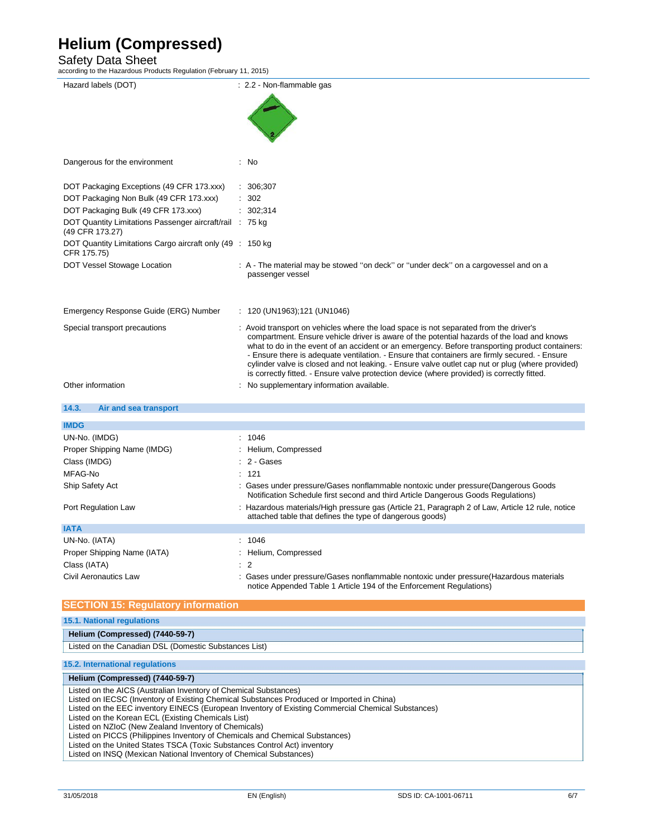Safety Data Sheet according to the Hazardous Products Regulation (February 11, 2015)

| Hazard labels (DOT)                                                                                                                  | : 2.2 - Non-flammable gas                                                                                                                                                                     |  |  |
|--------------------------------------------------------------------------------------------------------------------------------------|-----------------------------------------------------------------------------------------------------------------------------------------------------------------------------------------------|--|--|
|                                                                                                                                      |                                                                                                                                                                                               |  |  |
|                                                                                                                                      |                                                                                                                                                                                               |  |  |
|                                                                                                                                      |                                                                                                                                                                                               |  |  |
|                                                                                                                                      |                                                                                                                                                                                               |  |  |
|                                                                                                                                      |                                                                                                                                                                                               |  |  |
|                                                                                                                                      |                                                                                                                                                                                               |  |  |
| Dangerous for the environment                                                                                                        | : No                                                                                                                                                                                          |  |  |
|                                                                                                                                      |                                                                                                                                                                                               |  |  |
| DOT Packaging Exceptions (49 CFR 173.xxx)                                                                                            | 306;307                                                                                                                                                                                       |  |  |
| DOT Packaging Non Bulk (49 CFR 173.xxx)                                                                                              | 302                                                                                                                                                                                           |  |  |
| DOT Packaging Bulk (49 CFR 173.xxx)                                                                                                  | : 302;314                                                                                                                                                                                     |  |  |
| DOT Quantity Limitations Passenger aircraft/rail : 75 kg                                                                             |                                                                                                                                                                                               |  |  |
| (49 CFR 173.27)                                                                                                                      |                                                                                                                                                                                               |  |  |
| DOT Quantity Limitations Cargo aircraft only (49 : 150 kg)<br>CFR 175.75)                                                            |                                                                                                                                                                                               |  |  |
| DOT Vessel Stowage Location                                                                                                          | : A - The material may be stowed "on deck" or "under deck" on a cargovessel and on a                                                                                                          |  |  |
|                                                                                                                                      | passenger vessel                                                                                                                                                                              |  |  |
|                                                                                                                                      |                                                                                                                                                                                               |  |  |
|                                                                                                                                      |                                                                                                                                                                                               |  |  |
| Emergency Response Guide (ERG) Number                                                                                                | : $120$ (UN1963); 121 (UN1046)                                                                                                                                                                |  |  |
|                                                                                                                                      |                                                                                                                                                                                               |  |  |
| Special transport precautions                                                                                                        | : Avoid transport on vehicles where the load space is not separated from the driver's                                                                                                         |  |  |
|                                                                                                                                      | compartment. Ensure vehicle driver is aware of the potential hazards of the load and knows<br>what to do in the event of an accident or an emergency. Before transporting product containers: |  |  |
|                                                                                                                                      | - Ensure there is adequate ventilation. - Ensure that containers are firmly secured. - Ensure                                                                                                 |  |  |
|                                                                                                                                      | cylinder valve is closed and not leaking. - Ensure valve outlet cap nut or plug (where provided)                                                                                              |  |  |
|                                                                                                                                      | is correctly fitted. - Ensure valve protection device (where provided) is correctly fitted.                                                                                                   |  |  |
| Other information                                                                                                                    | No supplementary information available.                                                                                                                                                       |  |  |
|                                                                                                                                      |                                                                                                                                                                                               |  |  |
| 14.3.<br>Air and sea transport                                                                                                       |                                                                                                                                                                                               |  |  |
| <b>IMDG</b>                                                                                                                          |                                                                                                                                                                                               |  |  |
|                                                                                                                                      | 1046                                                                                                                                                                                          |  |  |
| UN-No. (IMDG)                                                                                                                        |                                                                                                                                                                                               |  |  |
| Proper Shipping Name (IMDG)                                                                                                          | Helium, Compressed                                                                                                                                                                            |  |  |
| Class (IMDG)                                                                                                                         | 2 - Gases                                                                                                                                                                                     |  |  |
| MFAG-No                                                                                                                              | 121                                                                                                                                                                                           |  |  |
| Ship Safety Act                                                                                                                      | Gases under pressure/Gases nonflammable nontoxic under pressure(Dangerous Goods                                                                                                               |  |  |
|                                                                                                                                      | Notification Schedule first second and third Article Dangerous Goods Regulations)                                                                                                             |  |  |
| Port Regulation Law                                                                                                                  | : Hazardous materials/High pressure gas (Article 21, Paragraph 2 of Law, Article 12 rule, notice                                                                                              |  |  |
|                                                                                                                                      | attached table that defines the type of dangerous goods)                                                                                                                                      |  |  |
| <b>IATA</b>                                                                                                                          |                                                                                                                                                                                               |  |  |
| UN-No. (IATA)                                                                                                                        | : 1046                                                                                                                                                                                        |  |  |
| Proper Shipping Name (IATA)                                                                                                          | : Helium, Compressed                                                                                                                                                                          |  |  |
| Class (IATA)                                                                                                                         | $\overline{2}$                                                                                                                                                                                |  |  |
| Civil Aeronautics Law                                                                                                                | Gases under pressure/Gases nonflammable nontoxic under pressure(Hazardous materials                                                                                                           |  |  |
|                                                                                                                                      | notice Appended Table 1 Article 194 of the Enforcement Regulations)                                                                                                                           |  |  |
|                                                                                                                                      |                                                                                                                                                                                               |  |  |
| <b>SECTION 15: Regulatory information</b>                                                                                            |                                                                                                                                                                                               |  |  |
| <b>15.1. National requlations</b>                                                                                                    |                                                                                                                                                                                               |  |  |
| Helium (Compressed) (7440-59-7)                                                                                                      |                                                                                                                                                                                               |  |  |
| Listed on the Canadian DSL (Domestic Substances List)                                                                                |                                                                                                                                                                                               |  |  |
|                                                                                                                                      |                                                                                                                                                                                               |  |  |
| 15.2. International regulations                                                                                                      |                                                                                                                                                                                               |  |  |
| Helium (Compressed) (7440-59-7)                                                                                                      |                                                                                                                                                                                               |  |  |
| Listed on the AICS (Australian Inventory of Chemical Substances)                                                                     |                                                                                                                                                                                               |  |  |
| Listed on IECSC (Inventory of Existing Chemical Substances Produced or Imported in China)                                            |                                                                                                                                                                                               |  |  |
| Listed on the EEC inventory EINECS (European Inventory of Existing Commercial Chemical Substances)                                   |                                                                                                                                                                                               |  |  |
| Listed on the Korean ECL (Existing Chemicals List)                                                                                   |                                                                                                                                                                                               |  |  |
| Listed on NZIoC (New Zealand Inventory of Chemicals)<br>Listed on PICCS (Philippines Inventory of Chemicals and Chemical Substances) |                                                                                                                                                                                               |  |  |
|                                                                                                                                      |                                                                                                                                                                                               |  |  |

Listed on the United States TSCA (Toxic Substances Control Act) inventory

Listed on INSQ (Mexican National Inventory of Chemical Substances)